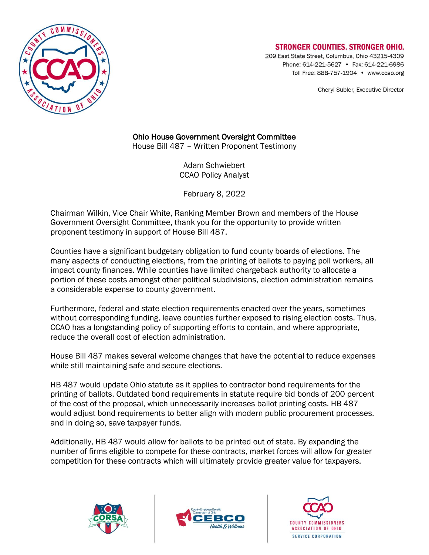

## **STRONGER COUNTIES, STRONGER OHIO.**

209 East State Street, Columbus, Ohio 43215-4309 Phone: 614-221-5627 • Fax: 614-221-6986 Toll Free: 888-757-1904 • www.ccao.org

Cheryl Subler, Executive Director

## Ohio House Government Oversight Committee

House Bill 487 – Written Proponent Testimony

Adam Schwiebert CCAO Policy Analyst

February 8, 2022

Chairman Wilkin, Vice Chair White, Ranking Member Brown and members of the House Government Oversight Committee, thank you for the opportunity to provide written proponent testimony in support of House Bill 487.

Counties have a significant budgetary obligation to fund county boards of elections. The many aspects of conducting elections, from the printing of ballots to paying poll workers, all impact county finances. While counties have limited chargeback authority to allocate a portion of these costs amongst other political subdivisions, election administration remains a considerable expense to county government.

Furthermore, federal and state election requirements enacted over the years, sometimes without corresponding funding, leave counties further exposed to rising election costs. Thus, CCAO has a longstanding policy of supporting efforts to contain, and where appropriate, reduce the overall cost of election administration.

House Bill 487 makes several welcome changes that have the potential to reduce expenses while still maintaining safe and secure elections.

HB 487 would update Ohio statute as it applies to contractor bond requirements for the printing of ballots. Outdated bond requirements in statute require bid bonds of 200 percent of the cost of the proposal, which unnecessarily increases ballot printing costs. HB 487 would adjust bond requirements to better align with modern public procurement processes, and in doing so, save taxpayer funds.

Additionally, HB 487 would allow for ballots to be printed out of state. By expanding the number of firms eligible to compete for these contracts, market forces will allow for greater competition for these contracts which will ultimately provide greater value for taxpayers.